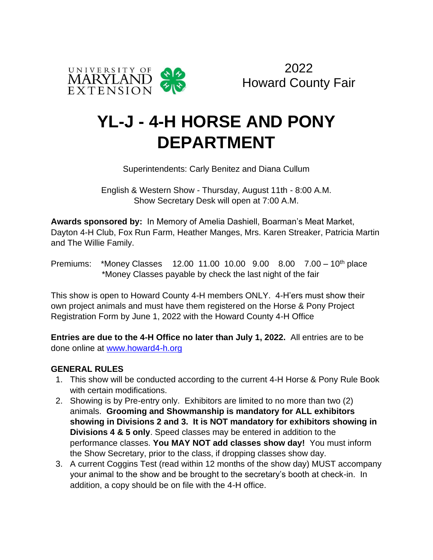

# **YL-J - 4-H HORSE AND PONY DEPARTMENT**

Superintendents: Carly Benitez and Diana Cullum

English & Western Show - Thursday, August 11th - 8:00 A.M. Show Secretary Desk will open at 7:00 A.M.

**Awards sponsored by:** In Memory of Amelia Dashiell, Boarman's Meat Market, Dayton 4-H Club, Fox Run Farm, Heather Manges, Mrs. Karen Streaker, Patricia Martin and The Willie Family.

Premiums: \*Money Classes 12.00 11.00 10.00 9.00 8.00 7.00 – 10th place \*Money Classes payable by check the last night of the fair

This show is open to Howard County 4-H members ONLY. 4-H'ers must show their own project animals and must have them registered on the Horse & Pony Project Registration Form by June 1, 2022 with the Howard County 4-H Office

**Entries are due to the 4-H Office no later than July 1, 2022.** All entries are to be done online at www.howard4-h.org

### **GENERAL RULES**

- 1. This show will be conducted according to the current 4-H Horse & Pony Rule Book with certain modifications.
- 2. Showing is by Pre-entry only. Exhibitors are limited to no more than two (2) animals. **Grooming and Showmanship is mandatory for ALL exhibitors showing in Divisions 2 and 3. It is NOT mandatory for exhibitors showing in Divisions 4 & 5 only**. Speed classes may be entered in addition to the performance classes. **You MAY NOT add classes show day!** You must inform the Show Secretary, prior to the class, if dropping classes show day.
- 3. A current Coggins Test (read within 12 months of the show day) MUST accompany your animal to the show and be brought to the secretary's booth at check-in. In addition, a copy should be on file with the 4-H office.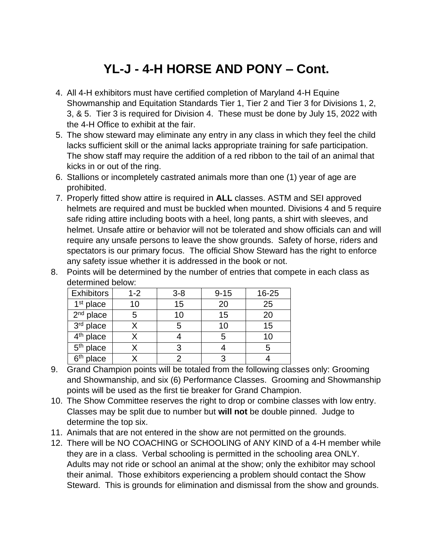## **YL-J - 4-H HORSE AND PONY – Cont.**

- 4. All 4-H exhibitors must have certified completion of Maryland 4-H Equine Showmanship and Equitation Standards Tier 1, Tier 2 and Tier 3 for Divisions 1, 2, 3, & 5. Tier 3 is required for Division 4. These must be done by July 15, 2022 with the 4-H Office to exhibit at the fair.
- 5. The show steward may eliminate any entry in any class in which they feel the child lacks sufficient skill or the animal lacks appropriate training for safe participation. The show staff may require the addition of a red ribbon to the tail of an animal that kicks in or out of the ring.
- 6. Stallions or incompletely castrated animals more than one (1) year of age are prohibited.
- 7. Properly fitted show attire is required in **ALL** classes. ASTM and SEI approved helmets are required and must be buckled when mounted. Divisions 4 and 5 require safe riding attire including boots with a heel, long pants, a shirt with sleeves, and helmet. Unsafe attire or behavior will not be tolerated and show officials can and will require any unsafe persons to leave the show grounds. Safety of horse, riders and spectators is our primary focus. The official Show Steward has the right to enforce any safety issue whether it is addressed in the book or not.

| <b>Exhibitors</b>     | $1 - 2$ | $3 - 8$ | $9 - 15$ | 16-25 |
|-----------------------|---------|---------|----------|-------|
| $1st$ place           | 10      | 15      | 20       | 25    |
| $2nd$ place           |         | 10      | 15       | 20    |
| 3rd place             |         | 5       | 10       | 15    |
| 4 <sup>th</sup> place |         |         | 5        | 10    |
| 5 <sup>th</sup> place |         | 3       |          |       |
| $6th$ place           |         | っ       | ว        |       |
|                       |         |         |          |       |

8. Points will be determined by the number of entries that compete in each class as determined below:

- 9. Grand Champion points will be totaled from the following classes only: Grooming and Showmanship, and six (6) Performance Classes. Grooming and Showmanship points will be used as the first tie breaker for Grand Champion.
- 10. The Show Committee reserves the right to drop or combine classes with low entry. Classes may be split due to number but **will not** be double pinned. Judge to determine the top six.
- 11. Animals that are not entered in the show are not permitted on the grounds.
- 12. There will be NO COACHING or SCHOOLING of ANY KIND of a 4-H member while they are in a class. Verbal schooling is permitted in the schooling area ONLY. Adults may not ride or school an animal at the show; only the exhibitor may school their animal. Those exhibitors experiencing a problem should contact the Show Steward. This is grounds for elimination and dismissal from the show and grounds.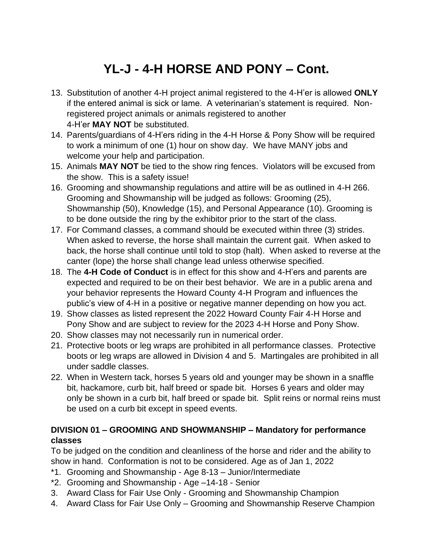# **YL-J - 4-H HORSE AND PONY – Cont.**

- 13. Substitution of another 4-H project animal registered to the 4-H'er is allowed **ONLY** if the entered animal is sick or lame. A veterinarian's statement is required. Nonregistered project animals or animals registered to another 4-H'er **MAY NOT** be substituted.
- 14. Parents/guardians of 4-H'ers riding in the 4-H Horse & Pony Show will be required to work a minimum of one (1) hour on show day. We have MANY jobs and welcome your help and participation.
- 15. Animals **MAY NOT** be tied to the show ring fences. Violators will be excused from the show. This is a safety issue!
- 16. Grooming and showmanship regulations and attire will be as outlined in 4-H 266. Grooming and Showmanship will be judged as follows: Grooming (25), Showmanship (50), Knowledge (15), and Personal Appearance (10). Grooming is to be done outside the ring by the exhibitor prior to the start of the class.
- 17. For Command classes, a command should be executed within three (3) strides. When asked to reverse, the horse shall maintain the current gait. When asked to back, the horse shall continue until told to stop (halt). When asked to reverse at the canter (lope) the horse shall change lead unless otherwise specified.
- 18. The **4-H Code of Conduct** is in effect for this show and 4-H'ers and parents are expected and required to be on their best behavior. We are in a public arena and your behavior represents the Howard County 4-H Program and influences the public's view of 4-H in a positive or negative manner depending on how you act.
- 19. Show classes as listed represent the 2022 Howard County Fair 4-H Horse and Pony Show and are subject to review for the 2023 4-H Horse and Pony Show.
- 20. Show classes may not necessarily run in numerical order.
- 21. Protective boots or leg wraps are prohibited in all performance classes. Protective boots or leg wraps are allowed in Division 4 and 5. Martingales are prohibited in all under saddle classes.
- 22. When in Western tack, horses 5 years old and younger may be shown in a snaffle bit, hackamore, curb bit, half breed or spade bit. Horses 6 years and older may only be shown in a curb bit, half breed or spade bit. Split reins or normal reins must be used on a curb bit except in speed events.

### **DIVISION 01 – GROOMING AND SHOWMANSHIP – Mandatory for performance classes**

To be judged on the condition and cleanliness of the horse and rider and the ability to show in hand. Conformation is not to be considered. Age as of Jan 1, 2022

- \*1. Grooming and Showmanship Age 8-13 Junior/Intermediate
- \*2. Grooming and Showmanship Age –14-18 Senior
- 3. Award Class for Fair Use Only Grooming and Showmanship Champion
- 4. Award Class for Fair Use Only Grooming and Showmanship Reserve Champion